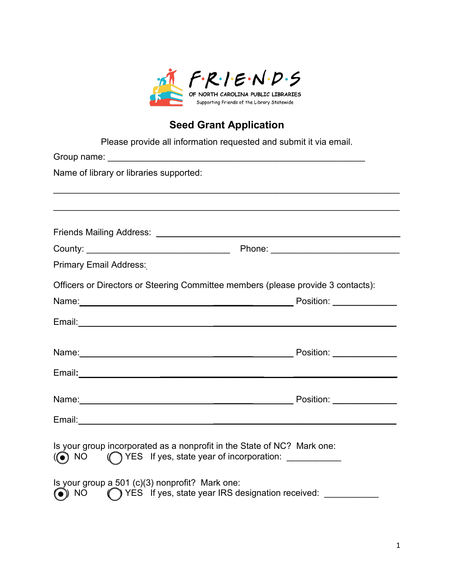

## **Seed Grant Application**

| Please provide all information requested and submit it via email.                                                                                             |  |
|---------------------------------------------------------------------------------------------------------------------------------------------------------------|--|
|                                                                                                                                                               |  |
| Name of library or libraries supported:                                                                                                                       |  |
|                                                                                                                                                               |  |
|                                                                                                                                                               |  |
|                                                                                                                                                               |  |
| <b>Primary Email Address:</b>                                                                                                                                 |  |
| Officers or Directors or Steering Committee members (please provide 3 contacts):                                                                              |  |
|                                                                                                                                                               |  |
|                                                                                                                                                               |  |
|                                                                                                                                                               |  |
|                                                                                                                                                               |  |
|                                                                                                                                                               |  |
|                                                                                                                                                               |  |
| Is your group incorporated as a nonprofit in the State of NC? Mark one:<br>(YES If yes, state year of incorporation: ___________<br>$\overline{(\bullet)}$ NO |  |
| Is your group a 501 (c)(3) nonprofit? Mark one:<br>(VES If yes, state year IRS designation received: ________<br>$\odot$ NO                                   |  |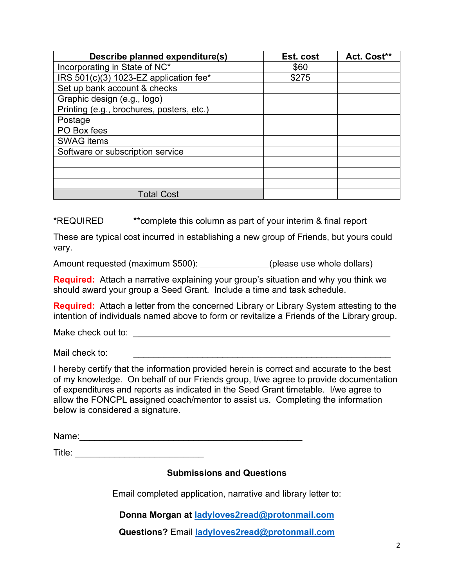| Describe planned expenditure(s)           | Est. cost | Act. Cost** |
|-------------------------------------------|-----------|-------------|
| Incorporating in State of NC*             | \$60      |             |
| IRS 501(c)(3) 1023-EZ application fee*    | \$275     |             |
| Set up bank account & checks              |           |             |
| Graphic design (e.g., logo)               |           |             |
| Printing (e.g., brochures, posters, etc.) |           |             |
| Postage                                   |           |             |
| PO Box fees                               |           |             |
| <b>SWAG</b> items                         |           |             |
| Software or subscription service          |           |             |
|                                           |           |             |
|                                           |           |             |
|                                           |           |             |
| <b>Total Cost</b>                         |           |             |

\*REQUIRED \*\*complete this column as part of your interim & final report

These are typical cost incurred in establishing a new group of Friends, but yours could vary.

Amount requested (maximum \$500): \_\_\_\_\_\_\_\_\_\_\_\_(please use whole dollars)

**Required:** Attach a narrative explaining your group's situation and why you think we should award your group a Seed Grant. Include a time and task schedule.

**Required:** Attach a letter from the concerned Library or Library System attesting to the intention of individuals named above to form or revitalize a Friends of the Library group.

Make check out to: \_\_\_\_\_\_\_\_\_\_\_\_\_\_\_\_\_\_\_\_\_\_\_\_\_\_\_\_\_\_\_\_\_\_\_\_\_\_\_\_\_\_\_\_\_\_\_\_\_\_\_\_

Mail check to:

I hereby certify that the information provided herein is correct and accurate to the best of my knowledge. On behalf of our Friends group, I/we agree to provide documentation of expenditures and reports as indicated in the Seed Grant timetable. I/we agree to allow the FONCPL assigned coach/mentor to assist us. Completing the information below is considered a signature.

Name:\_\_\_\_\_\_\_\_\_\_\_\_\_\_\_\_\_\_\_\_\_\_\_\_\_\_\_\_\_\_\_\_\_\_\_\_\_\_\_\_\_\_\_\_\_

Title: \_\_\_\_\_\_\_\_\_\_\_\_\_\_\_\_\_\_\_\_\_\_\_\_\_\_

**Submissions and Questions**

Email completed application, narrative and library letter to:

**Donna Morgan at [ladyloves2read@protonmail.com](mailto:ladyloves2read@protonmail.com)**

**Questions?** Email **[ladyloves2read@protonmail.com](mailto:ladyloves2read@protonmail.com)**